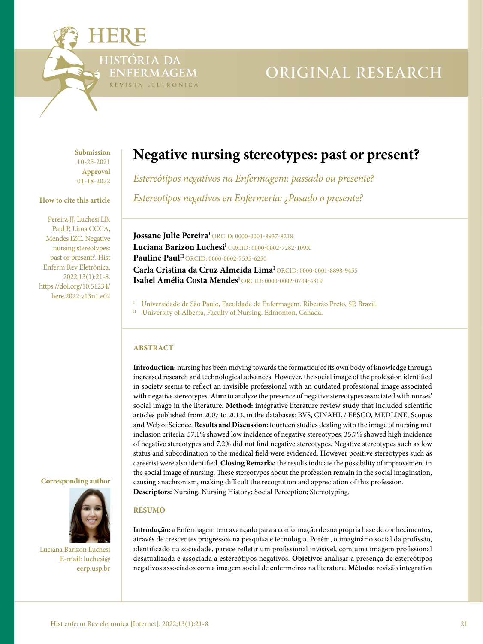

# ORIGINAL RESEARCH

**Submission** 10**-**25-2021 **Approval** 01**-**18-2022

### **How to cite this article**

Pereira JJ, Luchesi LB, Paul P, Lima CCCA, Mendes IZC. Negative nursing stereotypes: past or present?. Hist Enferm Rev Eletrônica. 2022;13(1):21-8. [https://doi.org/10.51234/](https://doi.org/10.51234/here.2022.v13n1.e03) [here.2022.v13n1.e02](https://doi.org/10.51234/here.2022.v13n1.e03)

## **Corresponding author**



Luciana Barizon Luchesi E-mail: [luchesi@](mailto:luchesi%40eerp.usp.br%20?subject=) [eerp.usp.br](mailto:luchesi%40eerp.usp.br%20?subject=)

# **Negative nursing stereotypes: past or present?**

*Estereótipos negativos na Enfermagem: passado ou presente? Estereotipos negativos en Enfermería: ¿Pasado o presente?*

**Jossane Julie PereiraI** ORCID: [0000-0001-8937-8218](https://orcid.org/0000-0001-8937-8218) Luciana Barizon Luchesi<sup>I</sup> [ORCID: 0000-0002-7282-109X](https://orcid.org/0000-0002-7282-109X) **Pauline Paul<sup>II</sup> [ORCID: 0000-0002-7535-6250](https://orcid.org/0000-0002-7535-6250) Carla Cristina da Cruz Almeida LimaI** [ORCID: 0000-0001-8898-9455](https://orcid.org/0000-0001-8898-9455) **Isabel Amélia Costa MendesI** ORCID: [0000-0002-0704-4319](https://orcid.org/0000-0002-0704-4319)

<sup>I</sup> Universidade de São Paulo, Faculdade de Enfermagem. Ribeirão Preto, SP, Brazil.

II University of Alberta, Faculty of Nursing. Edmonton, Canada.

# **ABSTRACT**

**Introduction:** nursing has been moving towards the formation of its own body of knowledge through increased research and technological advances. However, the social image of the profession identified in society seems to reflect an invisible professional with an outdated professional image associated with negative stereotypes. **Aim:** to analyze the presence of negative stereotypes associated with nurses' social image in the literature. **Method:** integrative literature review study that included scientific articles published from 2007 to 2013, in the databases: BVS, CINAHL / EBSCO, MEDLINE, Scopus and Web of Science. **Results and Discussion:** fourteen studies dealing with the image of nursing met inclusion criteria, 57.1% showed low incidence of negative stereotypes, 35.7% showed high incidence of negative stereotypes and 7.2% did not find negative stereotypes. Negative stereotypes such as low status and subordination to the medical field were evidenced. However positive stereotypes such as careerist were also identified. **Closing Remarks:** the results indicate the possibility of improvement in the social image of nursing. These stereotypes about the profession remain in the social imagination, causing anachronism, making difficult the recognition and appreciation of this profession. **Descriptors:** Nursing; Nursing History; Social Perception; Stereotyping.

# **RESUMO**

**Introdução:** a Enfermagem tem avançado para a conformação de sua própria base de conhecimentos, através de crescentes progressos na pesquisa e tecnologia. Porém, o imaginário social da profissão, identificado na sociedade, parece refletir um profissional invisível, com uma imagem profissional desatualizada e associada a estereótipos negativos. **Objetivo:** analisar a presença de estereótipos negativos associados com a imagem social de enfermeiros na literatura. **Método:** revisão integrativa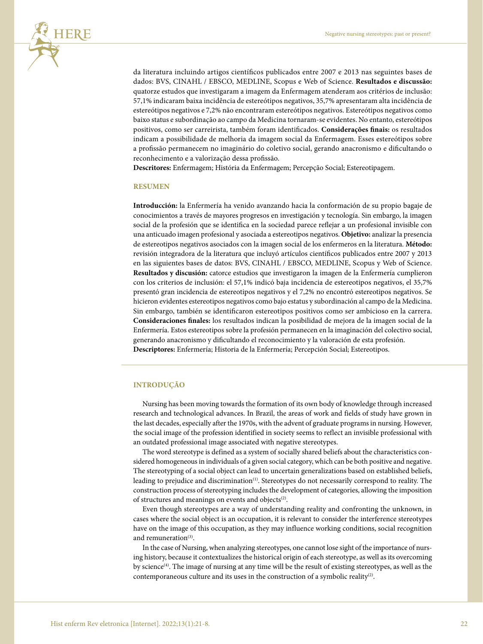

da literatura incluindo artigos científicos publicados entre 2007 e 2013 nas seguintes bases de dados: BVS, CINAHL / EBSCO, MEDLINE, Scopus e Web of Science. **Resultados e discussão:** quatorze estudos que investigaram a imagem da Enfermagem atenderam aos critérios de inclusão: 57,1% indicaram baixa incidência de estereótipos negativos, 35,7% apresentaram alta incidência de estereótipos negativos e 7,2% não encontraram estereótipos negativos. Estereótipos negativos como baixo status e subordinação ao campo da Medicina tornaram-se evidentes. No entanto, estereótipos positivos, como ser carreirista, também foram identificados. **Considerações finais:** os resultados indicam a possibilidade de melhoria da imagem social da Enfermagem. Esses estereótipos sobre a profissão permanecem no imaginário do coletivo social, gerando anacronismo e dificultando o reconhecimento e a valorização dessa profissão.

**Descritores:** Enfermagem; História da Enfermagem; Percepção Social; Estereotipagem.

#### **RESUMEN**

**Introducción:** la Enfermería ha venido avanzando hacia la conformación de su propio bagaje de conocimientos a través de mayores progresos en investigación y tecnología. Sin embargo, la imagen social de la profesión que se identifica en la sociedad parece reflejar a un profesional invisible con una anticuado imagen profesional y asociada a estereotipos negativos. **Objetivo:** analizar la presencia de estereotipos negativos asociados con la imagen social de los enfermeros en la literatura. **Método:** revisión integradora de la literatura que incluyó artículos científicos publicados entre 2007 y 2013 en las siguientes bases de datos: BVS, CINAHL / EBSCO, MEDLINE, Scopus y Web of Science. **Resultados y discusión:** catorce estudios que investigaron la imagen de la Enfermería cumplieron con los criterios de inclusión: el 57,1% indicó baja incidencia de estereotipos negativos, el 35,7% presentó gran incidencia de estereotipos negativos y el 7,2% no encontró estereotipos negativos. Se hicieron evidentes estereotipos negativos como bajo estatus y subordinación al campo de la Medicina. Sin embargo, también se identificaron estereotipos positivos como ser ambicioso en la carrera. **Consideraciones finales:** los resultados indican la posibilidad de mejora de la imagen social de la Enfermería. Estos estereotipos sobre la profesión permanecen en la imaginación del colectivo social, generando anacronismo y dificultando el reconocimiento y la valoración de esta profesión. **Descriptores:** Enfermería; Historia de la Enfermería; Percepción Social; Estereotipos.

#### **INTRODUÇÃO**

Nursing has been moving towards the formation of its own body of knowledge through increased research and technological advances. In Brazil, the areas of work and fields of study have grown in the last decades, especially after the 1970s, with the advent of graduate programs in nursing. However, the social image of the profession identified in society seems to reflect an invisible professional with an outdated professional image associated with negative stereotypes.

The word stereotype is defined as a system of socially shared beliefs about the characteristics considered homogeneous in individuals of a given social category, which can be both positive and negative. The stereotyping of a social object can lead to uncertain generalizations based on established beliefs, leading to prejudice and discrimination(1). Stereotypes do not necessarily correspond to reality. The construction process of stereotyping includes the development of categories, allowing the imposition of structures and meanings on events and objects<sup>(2)</sup>.

Even though stereotypes are a way of understanding reality and confronting the unknown, in cases where the social object is an occupation, it is relevant to consider the interference stereotypes have on the image of this occupation, as they may influence working conditions, social recognition and remuneration<sup>(3)</sup>.

In the case of Nursing, when analyzing stereotypes, one cannot lose sight of the importance of nursing history, because it contextualizes the historical origin of each stereotype, as well as its overcoming by science<sup>(4)</sup>. The image of nursing at any time will be the result of existing stereotypes, as well as the contemporaneous culture and its uses in the construction of a symbolic reality<sup>(2)</sup>.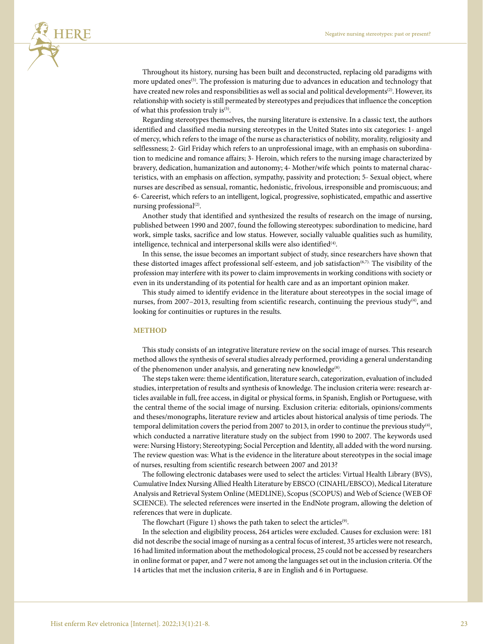

Throughout its history, nursing has been built and deconstructed, replacing old paradigms with more updated ones<sup>(5)</sup>. The profession is maturing due to advances in education and technology that have created new roles and responsibilities as well as social and political developments<sup>(2)</sup>. However, its relationship with society is still permeated by stereotypes and prejudices that influence the conception of what this profession truly is $(5)$ .

Regarding stereotypes themselves, the nursing literature is extensive. In a classic text, the authors identified and classified media nursing stereotypes in the United States into six categories: 1- angel of mercy, which refers to the image of the nurse as characteristics of nobility, morality, religiosity and selflessness; 2- Girl Friday which refers to an unprofessional image, with an emphasis on subordination to medicine and romance affairs; 3- Heroin, which refers to the nursing image characterized by bravery, dedication, humanization and autonomy; 4- Mother/wife which points to maternal characteristics, with an emphasis on affection, sympathy, passivity and protection; 5- Sexual object, where nurses are described as sensual, romantic, hedonistic, frivolous, irresponsible and promiscuous; and 6- Careerist, which refers to an intelligent, logical, progressive, sophisticated, empathic and assertive nursing professional<sup>(2)</sup>.

Another study that identified and synthesized the results of research on the image of nursing, published between 1990 and 2007, found the following stereotypes: subordination to medicine, hard work, simple tasks, sacrifice and low status. However, socially valuable qualities such as humility, intelligence, technical and interpersonal skills were also identified<sup>(4)</sup>.

In this sense, the issue becomes an important subject of study, since researchers have shown that these distorted images affect professional self-esteem, and job satisfaction<sup>(6,7)</sup>. The visibility of the profession may interfere with its power to claim improvements in working conditions with society or even in its understanding of its potential for health care and as an important opinion maker.

This study aimed to identify evidence in the literature about stereotypes in the social image of nurses, from 2007-2013, resulting from scientific research, continuing the previous study<sup>(4)</sup>, and looking for continuities or ruptures in the results.

#### **METHOD**

This study consists of an integrative literature review on the social image of nurses. This research method allows the synthesis of several studies already performed, providing a general understanding of the phenomenon under analysis, and generating new knowledge<sup>(8)</sup>.

The steps taken were: theme identification, literature search, categorization, evaluation of included studies, interpretation of results and synthesis of knowledge. The inclusion criteria were: research articles available in full, free access, in digital or physical forms, in Spanish, English or Portuguese, with the central theme of the social image of nursing. Exclusion criteria: editorials, opinions/comments and theses/monographs, literature review and articles about historical analysis of time periods. The temporal delimitation covers the period from 2007 to 2013, in order to continue the previous study<sup>(4)</sup>, which conducted a narrative literature study on the subject from 1990 to 2007. The keywords used were: Nursing History; Stereotyping; Social Perception and Identity, all added with the word nursing. The review question was: What is the evidence in the literature about stereotypes in the social image of nurses, resulting from scientific research between 2007 and 2013?

The following electronic databases were used to select the articles: Virtual Health Library (BVS), Cumulative Index Nursing Allied Health Literature by EBSCO (CINAHL/EBSCO), Medical Literature Analysis and Retrieval System Online (MEDLINE), Scopus (SCOPUS) and Web of Science (WEB OF SCIENCE). The selected references were inserted in the EndNote program, allowing the deletion of references that were in duplicate.

The flowchart (Figure 1) shows the path taken to select the articles<sup>(9)</sup>.

In the selection and eligibility process, 264 articles were excluded. Causes for exclusion were: 181 did not describe the social image of nursing as a central focus of interest, 35 articles were not research, 16 had limited information about the methodological process, 25 could not be accessed by researchers in online format or paper, and 7 were not among the languages set out in the inclusion criteria. Of the 14 articles that met the inclusion criteria, 8 are in English and 6 in Portuguese.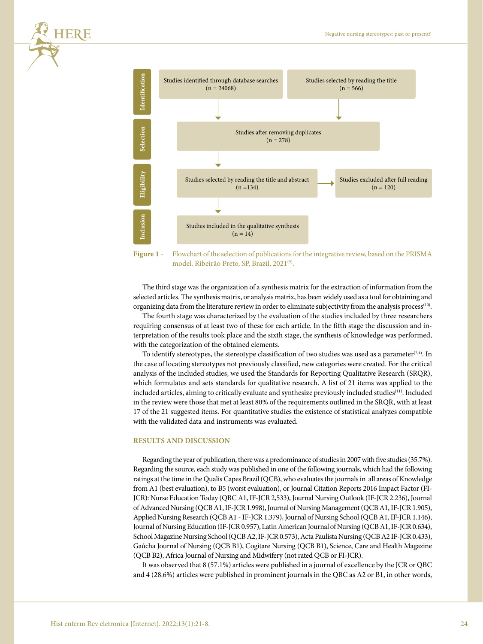

**Figure 1** - Flowchart of the selection of publications for the integrative review, based on the PRISMA model. Ribeirão Preto, SP, Brazil, 2021<sup>(9)</sup>.

The third stage was the organization of a synthesis matrix for the extraction of information from the selected articles. The synthesis matrix, or analysis matrix, has been widely used as a tool for obtaining and organizing data from the literature review in order to eliminate subjectivity from the analysis process(10).

The fourth stage was characterized by the evaluation of the studies included by three researchers requiring consensus of at least two of these for each article. In the fifth stage the discussion and interpretation of the results took place and the sixth stage, the synthesis of knowledge was performed, with the categorization of the obtained elements.

To identify stereotypes, the stereotype classification of two studies was used as a parameter<sup>(2,4)</sup>. In the case of locating stereotypes not previously classified, new categories were created. For the critical analysis of the included studies, we used the Standards for Reporting Qualitative Research (SRQR), which formulates and sets standards for qualitative research. A list of 21 items was applied to the included articles, aiming to critically evaluate and synthesize previously included studies<sup>(11)</sup>. Included in the review were those that met at least 80% of the requirements outlined in the SRQR, with at least 17 of the 21 suggested items. For quantitative studies the existence of statistical analyzes compatible with the validated data and instruments was evaluated.

#### **RESULTS AND DISCUSSION**

Regarding the year of publication, there was a predominance of studies in 2007 with five studies (35.7%). Regarding the source, each study was published in one of the following journals, which had the following ratings at the time in the Qualis Capes Brazil (QCB), who evaluates the journals in all areas of Knowledge from A1 (best evaluation), to B5 (worst evaluation), or Journal Citation Reports 2016 Impact Factor (FI-JCR): Nurse Education Today (QBC A1, IF-JCR 2,533), Journal Nursing Outlook (IF-JCR 2.236), Journal of Advanced Nursing (QCB A1, IF-JCR 1.998), Journal of Nursing Management (QCB A1, IF-JCR 1.905), Applied Nursing Research (QCB A1 - IF-JCR 1.379), Journal of Nursing School (QCB A1, IF-JCR 1.146), Journal of Nursing Education (IF-JCR 0.957), Latin American Journal of Nursing (QCB A1, IF-JCR 0.634), School Magazine Nursing School (QCB A2, IF-JCR 0.573), Acta Paulista Nursing (QCB A2 IF-JCR 0.433), Gaúcha Journal of Nursing (QCB B1), Cogitare Nursing (QCB B1), Science, Care and Health Magazine (QCB B2), Africa Journal of Nursing and Midwifery (not rated QCB or FI-JCR).

It was observed that 8 (57.1%) articles were published in a journal of excellence by the JCR or QBC

**TERE**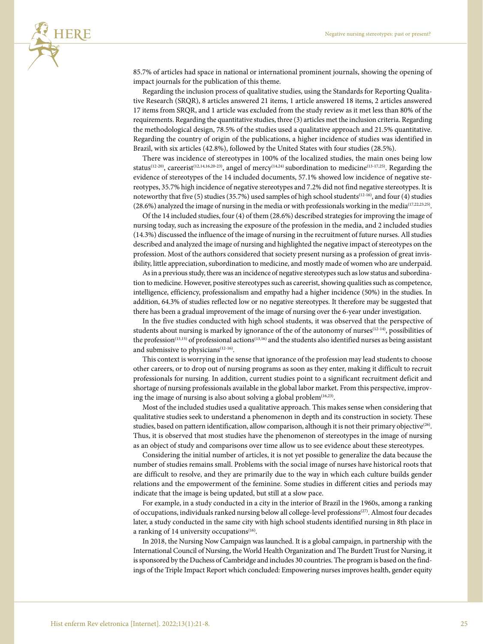

85.7% of articles had space in national or international prominent journals, showing the opening of impact journals for the publication of this theme.

Regarding the inclusion process of qualitative studies, using the Standards for Reporting Qualitative Research (SRQR), 8 articles answered 21 items, 1 article answered 18 items, 2 articles answered 17 items from SRQR, and 1 article was excluded from the study review as it met less than 80% of the requirements. Regarding the quantitative studies, three (3) articles met the inclusion criteria. Regarding the methodological design, 78.5% of the studies used a qualitative approach and 21.5% quantitative. Regarding the country of origin of the publications, a higher incidence of studies was identified in Brazil, with six articles (42.8%), followed by the United States with four studies (28.5%).

There was incidence of stereotypes in 100% of the localized studies, the main ones being low status<sup>(12-20)</sup>, careerist<sup>(12,14,16,20-23)</sup>, angel of mercy<sup>(14,24)</sup> subordination to medicine<sup>(13-17,25)</sup>. Regarding the evidence of stereotypes of the 14 included documents, 57.1% showed low incidence of negative stereotypes, 35.7% high incidence of negative stereotypes and 7.2% did not find negative stereotypes. It is noteworthy that five (5) studies (35.7%) used samples of high school students(12-16), and four (4) studies (28.6%) analyzed the image of nursing in the media or with professionals working in the media(17,22,23,25).

Of the 14 included studies, four (4) of them (28.6%) described strategies for improving the image of nursing today, such as increasing the exposure of the profession in the media, and 2 included studies (14.3%) discussed the influence of the image of nursing in the recruitment of future nurses. All studies described and analyzed the image of nursing and highlighted the negative impact of stereotypes on the profession. Most of the authors considered that society present nursing as a profession of great invisibility, little appreciation, subordination to medicine, and mostly made of women who are underpaid.

As in a previous study, there was an incidence of negative stereotypes such as low status and subordination to medicine. However, positive stereotypes such as careerist, showing qualities such as competence, intelligence, efficiency, professionalism and empathy had a higher incidence (50%) in the studies. In addition, 64.3% of studies reflected low or no negative stereotypes. It therefore may be suggested that there has been a gradual improvement of the image of nursing over the 6-year under investigation.

In the five studies conducted with high school students, it was observed that the perspective of students about nursing is marked by ignorance of the of the autonomy of nurses<sup>(12-14)</sup>, possibilities of the profession<sup>(13,15)</sup> of professional actions<sup>(13,16)</sup> and the students also identified nurses as being assistant and submissive to physicians $(12-16)$ .

This context is worrying in the sense that ignorance of the profession may lead students to choose other careers, or to drop out of nursing programs as soon as they enter, making it difficult to recruit professionals for nursing. In addition, current studies point to a significant recruitment deficit and shortage of nursing professionals available in the global labor market. From this perspective, improving the image of nursing is also about solving a global problem<sup>(16,23)</sup>.

Most of the included studies used a qualitative approach. This makes sense when considering that qualitative studies seek to understand a phenomenon in depth and its construction in society. These studies, based on pattern identification, allow comparison, although it is not their primary objective<sup>(26)</sup>. Thus, it is observed that most studies have the phenomenon of stereotypes in the image of nursing as an object of study and comparisons over time allow us to see evidence about these stereotypes.

Considering the initial number of articles, it is not yet possible to generalize the data because the number of studies remains small. Problems with the social image of nurses have historical roots that are difficult to resolve, and they are primarily due to the way in which each culture builds gender relations and the empowerment of the feminine. Some studies in different cities and periods may indicate that the image is being updated, but still at a slow pace.

For example, in a study conducted in a city in the interior of Brazil in the 1960s, among a ranking of occupations, individuals ranked nursing below all college-level professions(27). Almost four decades later, a study conducted in the same city with high school students identified nursing in 8th place in a ranking of 14 university occupations $(16)$ .

In 2018, the Nursing Now Campaign was launched. It is a global campaign, in partnership with the International Council of Nursing, the World Health Organization and The Burdett Trust for Nursing, it is sponsored by the Duchess of Cambridge and includes 30 countries. The program is based on the findings of the Triple Impact Report which concluded: Empowering nurses improves health, gender equity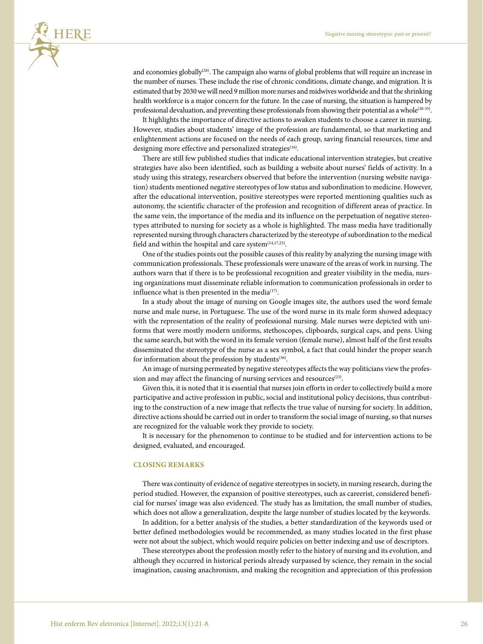

and economies globally<sup>(28)</sup>. The campaign also warns of global problems that will require an increase in the number of nurses. These include the rise of chronic conditions, climate change, and migration. It is estimated that by 2030 we will need 9 million more nurses and midwives worldwide and that the shrinking health workforce is a major concern for the future. In the case of nursing, the situation is hampered by professional devaluation, and preventing these professionals from showing their potential as a whole<sup>(28-35)</sup>.

It highlights the importance of directive actions to awaken students to choose a career in nursing. However, studies about students' image of the profession are fundamental, so that marketing and enlightenment actions are focused on the needs of each group, saving financial resources, time and designing more effective and personalized strategies<sup>(16)</sup>.

There are still few published studies that indicate educational intervention strategies, but creative strategies have also been identified, such as building a website about nurses' fields of activity. In a study using this strategy, researchers observed that before the intervention (nursing website navigation) students mentioned negative stereotypes of low status and subordination to medicine. However, after the educational intervention, positive stereotypes were reported mentioning qualities such as autonomy, the scientific character of the profession and recognition of different areas of practice. In the same vein, the importance of the media and its influence on the perpetuation of negative stereotypes attributed to nursing for society as a whole is highlighted. The mass media have traditionally represented nursing through characters characterized by the stereotype of subordination to the medical field and within the hospital and care system $(14,17,25)$ .

One of the studies points out the possible causes of this reality by analyzing the nursing image with communication professionals. These professionals were unaware of the areas of work in nursing. The authors warn that if there is to be professional recognition and greater visibility in the media, nursing organizations must disseminate reliable information to communication professionals in order to influence what is then presented in the media<sup>(17)</sup>.

In a study about the image of nursing on Google images site, the authors used the word female nurse and male nurse, in Portuguese. The use of the word nurse in its male form showed adequacy with the representation of the reality of professional nursing. Male nurses were depicted with uniforms that were mostly modern uniforms, stethoscopes, clipboards, surgical caps, and pens. Using the same search, but with the word in its female version (female nurse), almost half of the first results disseminated the stereotype of the nurse as a sex symbol, a fact that could hinder the proper search for information about the profession by students<sup>(36)</sup>.

An image of nursing permeated by negative stereotypes affects the way politicians view the profession and may affect the financing of nursing services and resources<sup>(23)</sup>.

Given this, it is noted that it is essential that nurses join efforts in order to collectively build a more participative and active profession in public, social and institutional policy decisions, thus contributing to the construction of a new image that reflects the true value of nursing for society. In addition, directive actions should be carried out in order to transform the social image of nursing, so that nurses are recognized for the valuable work they provide to society.

It is necessary for the phenomenon to continue to be studied and for intervention actions to be designed, evaluated, and encouraged.

#### **CLOSING REMARKS**

There was continuity of evidence of negative stereotypes in society, in nursing research, during the period studied. However, the expansion of positive stereotypes, such as careerist, considered beneficial for nurses' image was also evidenced. The study has as limitation, the small number of studies, which does not allow a generalization, despite the large number of studies located by the keywords.

In addition, for a better analysis of the studies, a better standardization of the keywords used or better defined methodologies would be recommended, as many studies located in the first phase were not about the subject, which would require policies on better indexing and use of descriptors.

These stereotypes about the profession mostly refer to the history of nursing and its evolution, and although they occurred in historical periods already surpassed by science, they remain in the social imagination, causing anachronism, and making the recognition and appreciation of this profession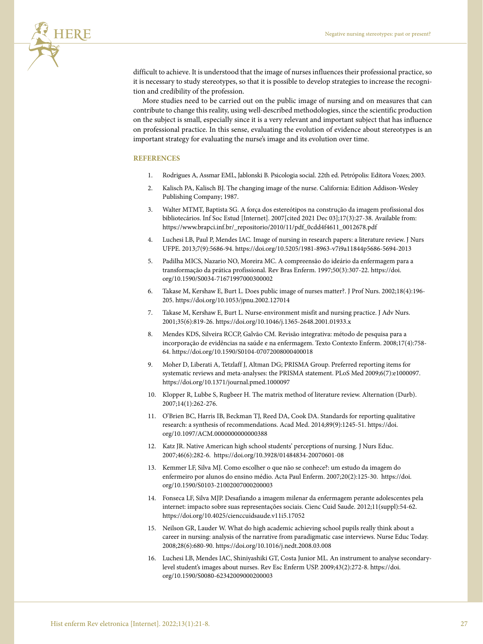

difficult to achieve. It is understood that the image of nurses influences their professional practice, so it is necessary to study stereotypes, so that it is possible to develop strategies to increase the recognition and credibility of the profession.

More studies need to be carried out on the public image of nursing and on measures that can contribute to change this reality, using well-described methodologies, since the scientific production on the subject is small, especially since it is a very relevant and important subject that has influence on professional practice. In this sense, evaluating the evolution of evidence about stereotypes is an important strategy for evaluating the nurse's image and its evolution over time.

#### **REFERENCES**

- 1. Rodrigues A, Assmar EML, Jablonski B. Psicologia social. 22th ed. Petrópolis: Editora Vozes; 2003.
- 2. Kalisch PA, Kalisch BJ. The changing image of the nurse. California: Edition Addison-Wesley Publishing Company; 1987.
- 3. Walter MTMT, Baptista SG. A força dos estereótipos na construção da imagem profissional dos bibliotecários. Inf Soc Estud [Internet]. 2007[cited 2021 Dec 03];17(3):27-38. Available from: [https://www.brapci.inf.br/\\_repositorio/2010/11/pdf\\_0cdd4f4611\\_0012678.pdf](about:blank)
- 4. Luchesi LB, Paul P, Mendes IAC. Image of nursing in research papers: a literature review. J Nurs UFPE. 2013;7(9):5686-94.<https://doi.org/10.5205/1981-8963-v7i9a11844p5686-5694-2013>
- 5. Padilha MICS, Nazario NO, Moreira MC. A compreensão do ideário da enfermagem para a transformação da prática profissional. Rev Bras Enferm. 1997;50(3):307-22. [https://doi.](https://doi.org/10.1590/S0034-71671997000300002) [org/10.1590/S0034-71671997000300002](https://doi.org/10.1590/S0034-71671997000300002)
- 6. Takase M, Kershaw E, Burt L. Does public image of nurses matter?. J Prof Nurs. 2002;18(4):196- 205. <https://doi.org/10.1053/jpnu.2002.127014>
- 7. Takase M, Kershaw E, Burt L. Nurse-environment misfit and nursing practice. J Adv Nurs. 2001;35(6):819-26.<https://doi.org/10.1046/j.1365-2648.2001.01933.x>
- 8. Mendes KDS, Silveira RCCP, Galvão CM. Revisão integrativa: método de pesquisa para a incorporação de evidências na saúde e na enfermagem. Texto Contexto Enferm. 2008;17(4):758- 64.<https://doi.org/10.1590/S0104-07072008000400018>
- 9. Moher D, Liberati A, Tetzlaff J, Altman DG; PRISMA Group. Preferred reporting items for systematic reviews and meta-analyses: the PRISMA statement. PLoS Med 2009;6(7):e1000097. https://doi.org/[10.1371/journal.pmed.1000097](about:blank)
- 10. Klopper R, Lubbe S, Rugbeer H. The matrix method of literature review. Alternation (Durb). 2007;14(1):262-276.
- 11. O'Brien BC, Harris IB, Beckman TJ, Reed DA, Cook DA. Standards for reporting qualitative research: a synthesis of recommendations. Acad Med. 2014;89(9):1245-51. [https://doi.](https://doi.org/10.1097/ACM.0000000000000388) [org/10.1097/ACM.0000000000000388](https://doi.org/10.1097/ACM.0000000000000388)
- 12. Katz JR. Native American high school students' perceptions of nursing. J Nurs Educ. 2007;46(6):282-6. <https://doi.org/10.3928/01484834-20070601-08>
- 13. Kemmer LF, Silva MJ. Como escolher o que não se conhece?: um estudo da imagem do enfermeiro por alunos do ensino médio. Acta Paul Enferm. 2007;20(2):125-30. https://doi. org/[10.1590/S0103-21002007000200003](about:blank)
- 14. Fonseca LF, Silva MJP. Desafiando a imagem milenar da enfermagem perante adolescentes pela internet: impacto sobre suas representações sociais. Cienc Cuid Saude. 2012;11(suppl):54-62. <https://doi.org/10.4025/cienccuidsaude.v11i5.17052>
- 15. Neilson GR, Lauder W. What do high academic achieving school pupils really think about a career in nursing: analysis of the narrative from paradigmatic case interviews. Nurse Educ Today. 2008;28(6):680-90.<https://doi.org/10.1016/j.nedt.2008.03.008>
- 16. Luchesi LB, Mendes IAC, Shiniyashiki GT, Costa Junior ML. An instrument to analyse secondarylevel student's images about nurses. Rev Esc Enferm USP. 2009;43(2):272-8. https://doi. org/[10.1590/S0080-62342009000200003](about:blank)